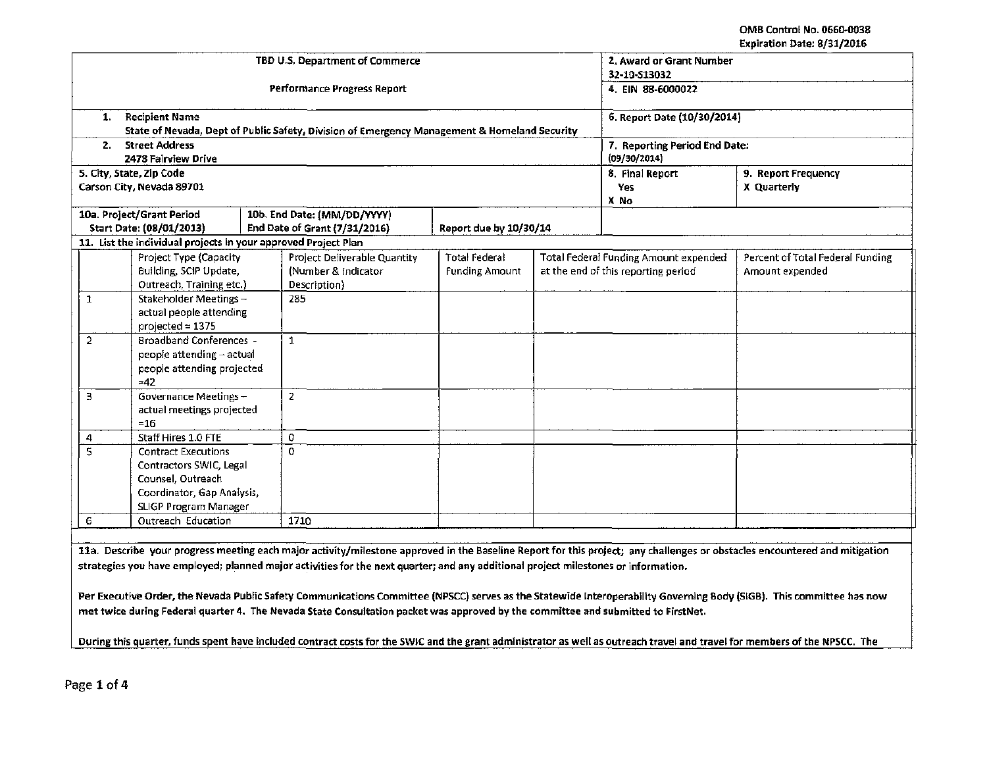|                                                                                                                                                                            | TBD U.S. Department of Commerce                                                              |                        | 2. Award or Grant Number                      |                                  |
|----------------------------------------------------------------------------------------------------------------------------------------------------------------------------|----------------------------------------------------------------------------------------------|------------------------|-----------------------------------------------|----------------------------------|
|                                                                                                                                                                            |                                                                                              |                        | 32-10-S13032                                  |                                  |
|                                                                                                                                                                            | Performance Progress Report                                                                  |                        | 4. EIN 88-6000022                             |                                  |
| <b>Recipient Name</b><br>1.                                                                                                                                                |                                                                                              |                        | 6. Report Date (10/30/2014)                   |                                  |
|                                                                                                                                                                            | State of Nevada, Dept of Public Safety, Division of Emergency Management & Homeland Security |                        |                                               |                                  |
| <b>Street Address</b><br>2.<br>2478 Fairview Drive                                                                                                                         |                                                                                              |                        | 7. Reporting Period End Date:<br>(09/30/2014) |                                  |
| 5. City, State, Zip Code                                                                                                                                                   |                                                                                              |                        | 8. Final Report                               | 9. Report Frequency              |
| Carson City, Nevada 89701                                                                                                                                                  |                                                                                              |                        | Yes                                           | X Quarterly                      |
|                                                                                                                                                                            |                                                                                              |                        | X No                                          |                                  |
| 10a. Project/Grant Period                                                                                                                                                  | 10b. End Date: (MM/DD/YYYY)                                                                  |                        |                                               |                                  |
| Start Date: (08/01/2013)                                                                                                                                                   | End Date of Grant (7/31/2016)                                                                | Report due by 10/30/14 |                                               |                                  |
| 11. List the individual projects in your approved Project Plan                                                                                                             |                                                                                              |                        |                                               |                                  |
| Project Type (Capacity                                                                                                                                                     | Project Deliverable Quantity                                                                 | <b>Total Federal</b>   | <b>Total Federal Funding Amount expended</b>  | Percent of Total Federal Funding |
| Building, SCIP Update,                                                                                                                                                     | (Number & Indicator)                                                                         | <b>Funding Amount</b>  | at the end of this reporting period           | Amount expended                  |
| Outreach, Training etc.)                                                                                                                                                   | Description}                                                                                 |                        |                                               |                                  |
| Stakeholder Meetings -<br>$\mathbf{1}$                                                                                                                                     | 285                                                                                          |                        |                                               |                                  |
| actual people attending                                                                                                                                                    |                                                                                              |                        |                                               |                                  |
| projected $= 1375$                                                                                                                                                         |                                                                                              |                        |                                               |                                  |
| $\overline{2}$<br><b>Broadband Conferences -</b>                                                                                                                           | $\mathbf{1}$                                                                                 |                        |                                               |                                  |
| people attending - actual                                                                                                                                                  |                                                                                              |                        |                                               |                                  |
| people attending projected                                                                                                                                                 |                                                                                              |                        |                                               |                                  |
| $=42$<br>3<br>Governance Meetings-                                                                                                                                         | $\overline{2}$                                                                               |                        |                                               |                                  |
|                                                                                                                                                                            |                                                                                              |                        |                                               |                                  |
| actual meetings projected<br>$=16$                                                                                                                                         |                                                                                              |                        |                                               |                                  |
| Staff Hires 1.0 FTE                                                                                                                                                        | 0                                                                                            |                        |                                               |                                  |
| 4<br>$\overline{\mathsf{s}}$<br><b>Contract Executions</b>                                                                                                                 | $\Omega$                                                                                     |                        |                                               |                                  |
| Contractors SWIC, Legal                                                                                                                                                    |                                                                                              |                        |                                               |                                  |
| Counsel, Outreach                                                                                                                                                          |                                                                                              |                        |                                               |                                  |
| Coordinator, Gap Analysis,                                                                                                                                                 |                                                                                              |                        |                                               |                                  |
| <b>SLIGP Program Manager</b>                                                                                                                                               |                                                                                              |                        |                                               |                                  |
| 6<br>Outreach Education                                                                                                                                                    | 1710                                                                                         |                        |                                               |                                  |
|                                                                                                                                                                            |                                                                                              |                        |                                               |                                  |
| 11a. Describe your progress meeting each major activity/milestone approved in the Baseline Report for this project; any challenges or obstacles encountered and mitigation |                                                                                              |                        |                                               |                                  |
| strategies you have employed; planned major activities for the next quarter; and any additional project milestones or information.                                         |                                                                                              |                        |                                               |                                  |
|                                                                                                                                                                            |                                                                                              |                        |                                               |                                  |
| Per Executive Order, the Nevada Public Safety Communications Committee (NPSCC) serves as the Statewide Interoperability Governing Body (SIGB). This committee has now      |                                                                                              |                        |                                               |                                  |

met twice during Federal quarter 4. The Nevada State Consultation packet was approved by the committee and submitted to FirstNet.

During this quarter, funds spent have included contract costs for the SWIC and the grant administrator as well as outreach travel and travel for members of the NPSCC. The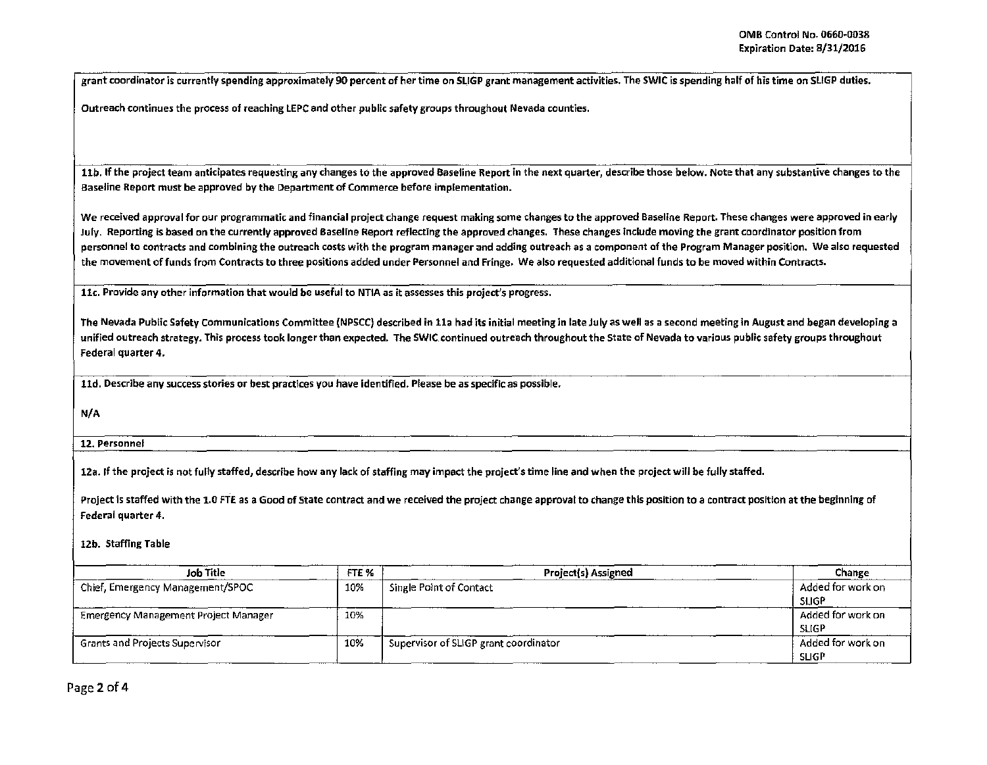grant coordinator is currently spending approximately 90 percent of her time on SLIGP grant management activities. The SWIC is spending half of his time on SLIGP duties.

Outreach continues the process of reaching LEPC and other public safety groups throughout Nevada counties.

11b. If the project team anticipates requesting any changes to the approved Baseline Report in the next quarter, describe those below. Note that any substantive changes to the Baseline Report must be approved by the Department of Commerce before implementation.

We received approval for our programmatic and financial project change request making some changes to the approved Baseline Report. These changes were approved in early July. Reporting is based on the currently approved Baseline Report reflecting the approved changes. These changes include moving the grant coordinator position from personnel to contracts and combining the outreach costs with the program manager and adding outreach as a component of the Program Manager position. We also requested the movement of funds from Contracts to three positions added under Personnel and Fringe. We also requested additional funds to be moved within Contracts.

llc. Provide any other information that would be useful to NTIA as it assesses this project's progress.

The Nevada Public Safety communications Committee (NPSCC) described in lla had its initial meeting in late July as well as a second meeting in August and began developing a unified outreach strategy. This process took longer than expected. The SWIC continued outreach throughout the State of Nevada to various public safety groups throughout Federal quarter 4.

lld. Describe any success stories or best practices you have identified. Please be as specific as possible.

N/A

12. Personnel

12a. If the project is not fully staffed, describe how any lack of staffing may impact the project's time line and when the project will be fully staffed.

Project is staffed with the 1.0 FTE as a Good of State contract and we received the project change approval to change this position to a contract position at the beginning of Federal quarter 4.

## 12b. Staffing Table

| Job Title                                   | FTE % | Project(s) Assigned                   | Change            |
|---------------------------------------------|-------|---------------------------------------|-------------------|
| Chief, Emergency Management/SPOC            | 10%   | Single Point of Contact               | Added for work on |
|                                             |       |                                       | <b>SLIGP</b>      |
| <b>Emergency Management Project Manager</b> | 10%   |                                       | Added for work on |
|                                             |       |                                       | SLIGP             |
| Grants and Projects Supervisor              | 10%   | Supervisor of SLIGP grant coordinator | Added for work on |
|                                             |       |                                       | <b>SLIGP</b>      |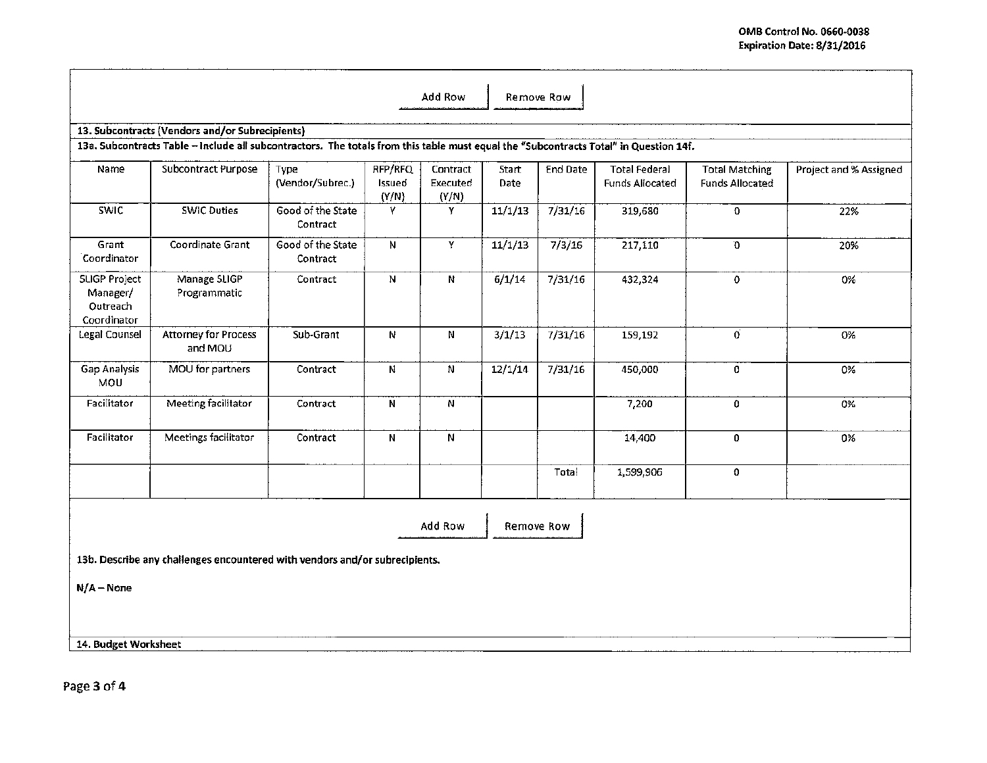|                                                      |                                                                                                                                       |                               |                            | Add Row                       |               | Remove Row |                                                |                                                 |                        |
|------------------------------------------------------|---------------------------------------------------------------------------------------------------------------------------------------|-------------------------------|----------------------------|-------------------------------|---------------|------------|------------------------------------------------|-------------------------------------------------|------------------------|
|                                                      | 13. Subcontracts (Vendors and/or Subrecipients)                                                                                       |                               |                            |                               |               |            |                                                |                                                 |                        |
|                                                      | 13a. Subcontracts Table - include all subcontractors. The totals from this table must equal the "Subcontracts Total" in Question 14f. |                               |                            |                               |               |            |                                                |                                                 |                        |
| Name                                                 | Subcontract Purpose                                                                                                                   | Type<br>(Vendor/Subrec.)      | RFP/RFQ<br>Issued<br>(Y/N) | Contract<br>Executed<br>(Y/N) | Start<br>Date | End Date   | <b>Total Federal</b><br><b>Funds Allocated</b> | <b>Total Matching</b><br><b>Funds Allocated</b> | Project and % Assigned |
| <b>SWIC</b>                                          | <b>SWIC Duties</b>                                                                                                                    | Good of the State<br>Contract | Y                          | Y                             | 11/1/13       | 7/31/16    | 319,680                                        | $\mathbf 0$                                     | 22%                    |
| Grant<br>Coordinator                                 | Coordinate Grant                                                                                                                      | Good of the State<br>Contract | N                          | Y.                            | 11/1/13       | 7/3/16     | 217,110                                        | Ð                                               | 20%                    |
| SLIGP Project<br>Manager/<br>Outreach<br>Coordinator | Manage SLIGP<br>Programmatic                                                                                                          | Contract                      | $\mathbf N$                | N                             | 6/1/14        | 7/31/16    | 432,324                                        | $\circ$                                         | 0%                     |
| <b>Legal Counsel</b>                                 | <b>Attorney for Process</b><br>and MOU                                                                                                | Sub-Grant                     | N                          | N                             | 3/1/13        | 7/31/16    | 159,192                                        | Ö.                                              | 0%                     |
| Gap Analysis<br>MOU                                  | MOU for partners                                                                                                                      | Contract                      | N                          | N                             | 12/1/14       | 7/31/16    | 450,000                                        | 0                                               | 0%                     |
| Facilitator                                          | Meeting facilitator                                                                                                                   | Contract                      | N                          | N                             |               |            | 7,200                                          | 0                                               | 0%                     |
| Facilitator                                          | Meetings facilitator                                                                                                                  | Contract                      | N                          | N                             |               |            | 14,400                                         | 0                                               | 0%                     |
|                                                      |                                                                                                                                       |                               |                            |                               |               | Total      | 1,599,906                                      | 0                                               |                        |
|                                                      |                                                                                                                                       |                               |                            | Add Row                       |               | Remove Row |                                                |                                                 |                        |
|                                                      | 13b. Describe any challenges encountered with vendors and/or subrecipients.                                                           |                               |                            |                               |               |            |                                                |                                                 |                        |
| $N/A - None$                                         |                                                                                                                                       |                               |                            |                               |               |            |                                                |                                                 |                        |
|                                                      |                                                                                                                                       |                               |                            |                               |               |            |                                                |                                                 |                        |
| 14. Budget Worksheet                                 |                                                                                                                                       |                               |                            |                               |               |            |                                                |                                                 |                        |